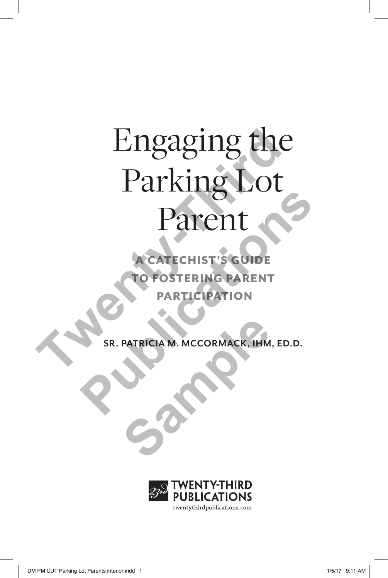# Engaging the Parking Lot Parent Engaging the Parking Lot<br>Parent Parent

**A CATECHIST'S GUIDE** TO FOSTERING PARENT **PARTICIPATION** 

**SR. PATRICIA M. MCCORMACK, IHM, ED.D.** PATRICIA M. MCCORMACK, IHM

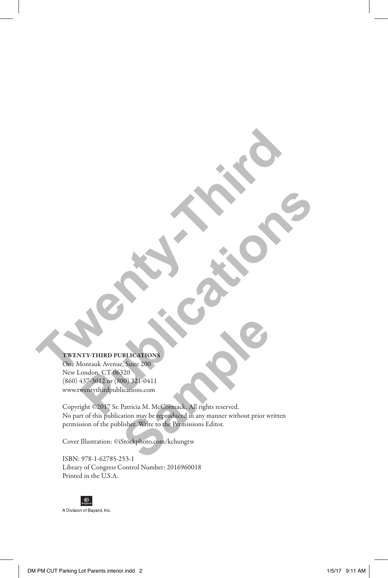#### TWENTY-THIRD PUBLICATIONS

One Montauk Avenue, Suite 200 New London, CT 06320 (860) 437-3012 or (800) 321-0411 www.twentythirdpublications.com **TWENTY-THIRD PUBLICAN CONTROL PUBLICATES AND THE PUBLICATES CONTROL**<br>
ACTIVITY PRIME PUBLICATED S<br>
ACTIVITY PRIME PUBLICATED S<br>
ACTIVITY PRIME PUBLICATED S<br>
ACTIVITY PRIME PUBLICATED S<br>
ACTIVITY PRIME CONTROL PRIME CONTROL PRIME CONTROL PRIME CONTROL

Copyright ©2017 Sr. Patricia M. McCormack. All rights reserved. No part of this publication may be reproduced in any manner without prior written permission of the publisher. Write to the Permissions Editor. **Sample Control Control Control Control Control Control Control Control Control Control Control Control Control Control Control Control Control Control Control Control Control Control Control Control Control Control Contro** 

Cover Illustration: ©iStockphoto.com/kchungtw

ISBN: 978-1-62785-253-1 Library of Congress Control Number: 2016960018 Printed in the U.S.A.

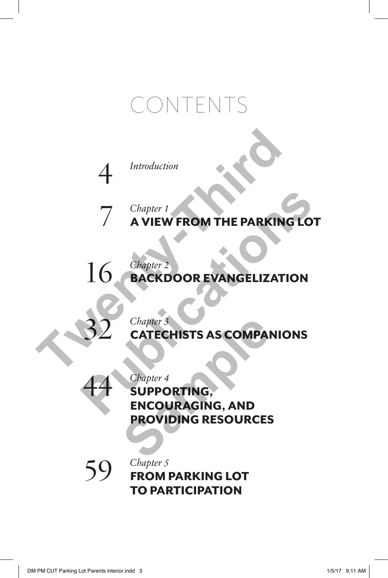## CONTENTS



*Chapter 1* A VIEW FROM THE PARKING LOT

*Chapter 2* BACKDOOR EVANGELIZATION 16 A<br>
T<br>
T<br>
Chapter 1<br>
A VIEW FROM THE PARKING<br>
16<br>
BACKDOOR EVANGELIZATION<br>
Chapter 3<br>
Chapter 3<br>
Chapter 3<br>
CHECHISTS AS COMPANION The VIEW FROM THE PARKING LOT<br>
16 BACKDOOR EVANGELIZATION<br> **PUBLICATE CONTRACTER AS COMPANIONS**<br>
PUBLICATE CHISTS AS COMPANIONS<br>
PUPPORTING,<br>
PUPPORTING,<br>
PUPPORTING,<br>
PUPPORTING,



7

*Chapter 3* CATECHISTS AS COMPANIONS



*Chapter 4* SUPPORTING, ENCOURAGING, AND PROVIDING RESOURCES Chapter<sup>3</sup><br> **CATECHISTS AS COMPAI**<br>
Chapter 4<br> **SUPPORTING,<br>
ENCOURAGING, AND<br>
PROVIDING RESOURCES** 



*Chapter 5* FROM PARKING LOT TO PARTICIPATION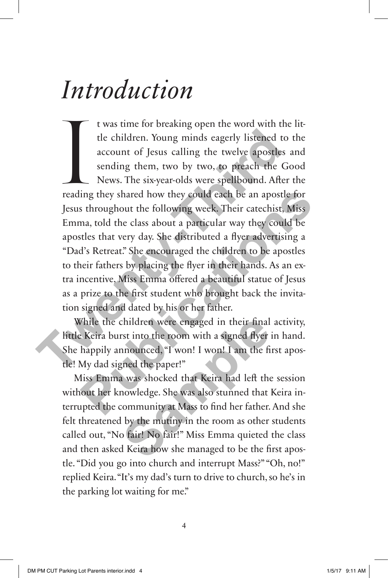## *Introduction*

International Preading t was time for breaking open the word with the little children. Young minds eagerly listened to the account of Jesus calling the twelve apostles and sending them, two by two, to preach the Good News. The six-year-olds were spellbound. After the reading they shared how they could each be an apostle for Jesus throughout the following week. Their catechist, Miss Emma, told the class about a particular way they could be apostles that very day. She distributed a flyer advertising a "Dad's Retreat." She encouraged the children to be apostles to their fathers by placing the flyer in their hands. As an extra incentive, Miss Emma offered a beautiful statue of Jesus as a prize to the first student who brought back the invitation signed and dated by his or her father. the children. Young minds eagerly listened to the account of Jesus calling the twelve apostles a sending them, two by two, to preach the Go News. The six-year-olds were spellbound. After reading they shared how they could ing they shared how they could each be an apostle for<br>s throughout the following week. Their catechist, Miss<br>ma, told the class about a particular way they could be<br>stles that very day. She distributed a flyer advertising

While the children were engaged in their final activity, little Keira burst into the room with a signed flyer in hand. She happily announced, "I won! I won! I am the first apostle! My dad signed the paper!"

Miss Emma was shocked that Keira had left the session without her knowledge. She was also stunned that Keira interrupted the community at Mass to find her father. And she felt threatened by the mutiny in the room as other students called out, "No fair! No fair!" Miss Emma quieted the class and then asked Keira how she managed to be the first apostle. "Did you go into church and interrupt Mass?" "Oh, no!" replied Keira. "It's my dad's turn to drive to church, so he's in the parking lot waiting for me." children were engaged in their final<br>rst into the room with a signed flyer<br>nnounced, "I won! I won! I am the fi<br>gned the paper!"<br>a was shocked that Keira had left the<br>nowledge. She was also stunned that<br>community at Mass t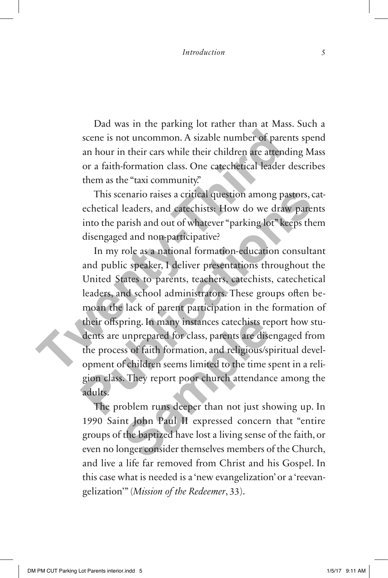Dad was in the parking lot rather than at Mass. Such a scene is not uncommon. A sizable number of parents spend an hour in their cars while their children are attending Mass or a faith-formation class. One catechetical leader describes them as the "taxi community."

This scenario raises a critical question among pastors, catechetical leaders, and catechists: How do we draw parents into the parish and out of whatever "parking lot" keeps them disengaged and non-participative?

In my role as a national formation-education consultant and public speaker, I deliver presentations throughout the United States to parents, teachers, catechists, catechetical leaders, and school administrators. These groups often bemoan the lack of parent participation in the formation of their offspring. In many instances catechists report how students are unprepared for class, parents are disengaged from the process of faith formation, and religious/spiritual development of children seems limited to the time spent in a religion class. They report poor church attendance among the adults. scene is not uncommon. A sizable number of parent an hour in their cars while their children are attendio or a faith-formation class. One catechetical leader d them as the "taxi community." This scenario raises a critical This scenario raises a critical question among pastors, catechetical leaders, and catechists: How do we draw parents into the parish and out of whatever "parking lot" keeps them disengaged and non-participative?<br>In my role pring. In many instances catechists requippedency does also seeds are dised as of faith formation, and religious/sp<br>f children seems limited to the time s<br>s. They report poor church attendance<br>coblem runs deeper than not j

The problem runs deeper than not just showing up. In 1990 Saint John Paul II expressed concern that "entire groups of the baptized have lost a living sense of the faith, or even no longer consider themselves members of the Church, and live a life far removed from Christ and his Gospel. In this case what is needed is a 'new evangelization' or a 'reevangelization'" (*Mission of the Redeemer*, 33).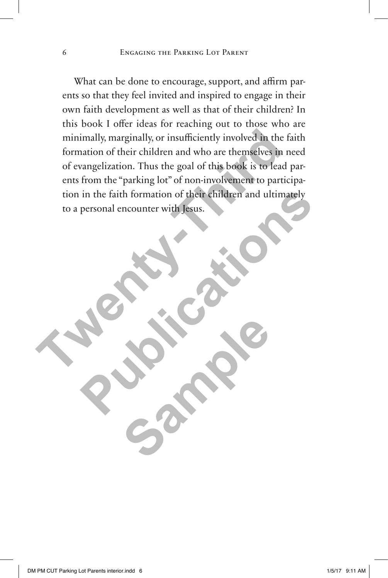What can be done to encourage, support, and affirm parents so that they feel invited and inspired to engage in their own faith development as well as that of their children? In this book I offer ideas for reaching out to those who are minimally, marginally, or insufficiently involved in the faith formation of their children and who are themselves in need of evangelization. Thus the goal of this book is to lead parents from the "parking lot" of non-involvement to participation in the faith formation of their children and ultimately to a personal encounter with Jesus. minimally, marginally, or insufficiently involved in the fa<br>formation of their children and who are themselves in ne<br>of evangelization. Thus the goal of this book is to lead p<br>ents from the "parking lot" of non-involvement in the faith formation of their children and ultimately<br>personal encounter with Jesus.<br> **Publications** 

Sample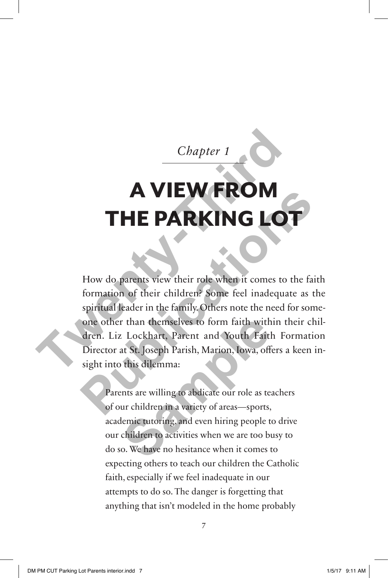*Chapter 1* 

## A VIEW FROM **THE PARKING LO**

How do parents view their role when it comes to the faith formation of their children? Some feel inadequate as the spiritual leader in the family. Others note the need for someone other than themselves to form faith within their children. Liz Lockhart, Parent and Youth Faith Formation Director at St. Joseph Parish, Marion, Iowa, offers a keen insight into this dilemma: **Chapter 1**<br> **THE PARKING LOT**<br>
How do parents view their role when it comes to the formation of their children? Some feel inadequate spiritual leader in the family. Others note the need for one other than themselves to fo **PHE PARKING LOT**<br>
How do parents view their role when it comes to the faith<br>
formation of their children? Some feel inadequate as the<br>
spiritual leader in the family. Others note the need for some-<br>
one other than themsel

Parents are willing to abdicate our role as teachers of our children in a variety of areas—sports, academic tutoring, and even hiring people to drive our children to activities when we are too busy to do so. We have no hesitance when it comes to expecting others to teach our children the Catholic faith, especially if we feel inadequate in our attempts to do so. The danger is forgetting that anything that isn't modeled in the home probably r than themselves to form faith with<br>
Lockhart, Parent and Youth Faith<br>
at St. Joseph Parish, Marion, Iowa, off<br>
this dilemma:<br>
ents are willing to abdicate our role as te<br>
ur children in a variety of areas—sports,<br>
lemic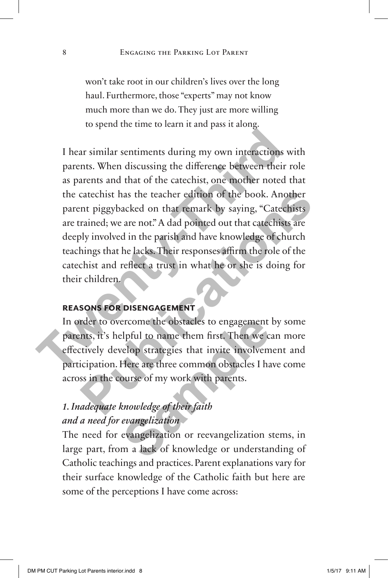won't take root in our children's lives over the long haul. Furthermore, those "experts" may not know much more than we do. They just are more willing to spend the time to learn it and pass it along.

I hear similar sentiments during my own interactions with parents. When discussing the difference between their role as parents and that of the catechist, one mother noted that the catechist has the teacher edition of the book. Another parent piggybacked on that remark by saying, "Catechists are trained; we are not." A dad pointed out that catechists are deeply involved in the parish and have knowledge of church teachings that he lacks. Their responses affirm the role of the catechist and reflect a trust in what he or she is doing for their children. I hear similar sentiments during my own interactions w<br>parents. When discussing the difference between their ras<br>as parents and that of the catechist, one morher noted the<br>catechist has the teacher edition of the book. Ano catechist has the teacher edition of the book. Another<br>mt piggybacked on that remark by saying, "Catechists<br>rained; we are not." A dad pointed out that catechists are<br>ply involved in the parish and have knowledge of church

#### **reasons for disengagement**

In order to overcome the obstacles to engagement by some parents, it's helpful to name them first. Then we can more effectively develop strategies that invite involvement and participation. Here are three common obstacles I have come across in the course of my work with parents. ercome the obstacles to engagement<br>elpful to name them first. Then we calculate the set of the set of the set<br>of the are three common obstacles I had<br>ourse of my work with parents.<br>knowledge of their faith<br>evangelization<br>e

### *1. Inadequate knowledge of their faith and a need for evangelization*

The need for evangelization or reevangelization stems, in large part, from a lack of knowledge or understanding of Catholic teachings and practices. Parent explanations vary for their surface knowledge of the Catholic faith but here are some of the perceptions I have come across: